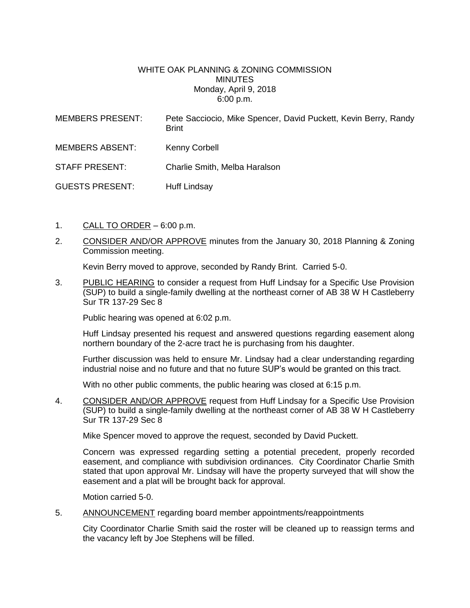## WHITE OAK PLANNING & ZONING COMMISSION MINUTES Monday, April 9, 2018 6:00 p.m.

| <b>MEMBERS PRESENT:</b> | Pete Sacciocio, Mike Spencer, David Puckett, Kevin Berry, Randy<br><b>Brint</b> |
|-------------------------|---------------------------------------------------------------------------------|
| <b>MEMBERS ABSENT:</b>  | Kenny Corbell                                                                   |
| <b>STAFF PRESENT:</b>   | Charlie Smith, Melba Haralson                                                   |
| <b>GUESTS PRESENT:</b>  | <b>Huff Lindsay</b>                                                             |

- 1. CALL TO ORDER 6:00 p.m.
- 2. CONSIDER AND/OR APPROVE minutes from the January 30, 2018 Planning & Zoning Commission meeting.

Kevin Berry moved to approve, seconded by Randy Brint. Carried 5-0.

3. PUBLIC HEARING to consider a request from Huff Lindsay for a Specific Use Provision (SUP) to build a single-family dwelling at the northeast corner of AB 38 W H Castleberry Sur TR 137-29 Sec 8

Public hearing was opened at 6:02 p.m.

Huff Lindsay presented his request and answered questions regarding easement along northern boundary of the 2-acre tract he is purchasing from his daughter.

Further discussion was held to ensure Mr. Lindsay had a clear understanding regarding industrial noise and no future and that no future SUP's would be granted on this tract.

With no other public comments, the public hearing was closed at 6:15 p.m.

4. CONSIDER AND/OR APPROVE request from Huff Lindsay for a Specific Use Provision (SUP) to build a single-family dwelling at the northeast corner of AB 38 W H Castleberry Sur TR 137-29 Sec 8

Mike Spencer moved to approve the request, seconded by David Puckett.

Concern was expressed regarding setting a potential precedent, properly recorded easement, and compliance with subdivision ordinances. City Coordinator Charlie Smith stated that upon approval Mr. Lindsay will have the property surveyed that will show the easement and a plat will be brought back for approval.

Motion carried 5-0.

5. ANNOUNCEMENT regarding board member appointments/reappointments

City Coordinator Charlie Smith said the roster will be cleaned up to reassign terms and the vacancy left by Joe Stephens will be filled.